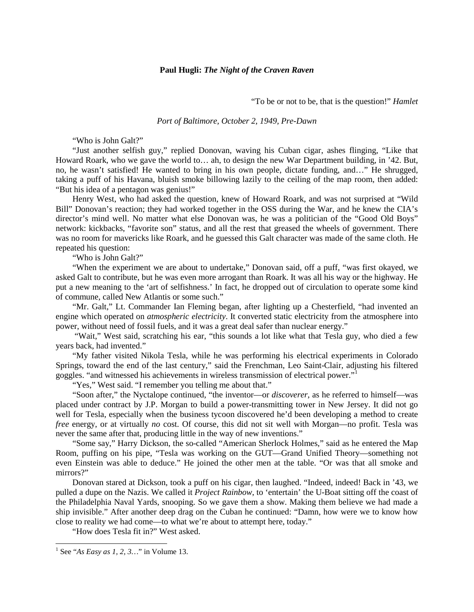### **Paul Hugli:** *The Night of the Craven Raven*

"To be or not to be, that is the question!" *Hamlet*

*Port of Baltimore, October 2, 1949, Pre-Dawn*

"Who is John Galt?"

"Just another selfish guy," replied Donovan, waving his Cuban cigar, ashes flinging, "Like that Howard Roark, who we gave the world to… ah, to design the new War Department building, in '42. But, no, he wasn't satisfied! He wanted to bring in his own people, dictate funding, and…" He shrugged, taking a puff of his Havana, bluish smoke billowing lazily to the ceiling of the map room, then added: "But his idea of a pentagon was genius!"

Henry West, who had asked the question, knew of Howard Roark, and was not surprised at "Wild Bill" Donovan's reaction; they had worked together in the OSS during the War, and he knew the CIA's director's mind well. No matter what else Donovan was, he was a politician of the "Good Old Boys" network: kickbacks, "favorite son" status, and all the rest that greased the wheels of government. There was no room for mavericks like Roark, and he guessed this Galt character was made of the same cloth. He repeated his question:

"Who is John Galt?"

"When the experiment we are about to undertake," Donovan said, off a puff, "was first okayed, we asked Galt to contribute, but he was even more arrogant than Roark. It was all his way or the highway. He put a new meaning to the 'art of selfishness.' In fact, he dropped out of circulation to operate some kind of commune, called New Atlantis or some such."

"Mr. Galt," Lt. Commander Ian Fleming began, after lighting up a Chesterfield, "had invented an engine which operated on *atmospheric electricity*. It converted static electricity from the atmosphere into power, without need of fossil fuels, and it was a great deal safer than nuclear energy."

"Wait," West said, scratching his ear, "this sounds a lot like what that Tesla guy, who died a few years back, had invented."

"My father visited Nikola Tesla, while he was performing his electrical experiments in Colorado Springs, toward the end of the last century," said the Frenchman, Leo Saint-Clair, adjusting his filtered goggles. "and witnessed his achievements in wireless transmission of electrical power."

"Yes," West said. "I remember you telling me about that."

"Soon after," the Nyctalope continued, "the inventor—or *discoverer*, as he referred to himself—was placed under contract by J.P. Morgan to build a power-transmitting tower in New Jersey. It did not go well for Tesla, especially when the business tycoon discovered he'd been developing a method to create *free* energy, or at virtually *no* cost. Of course, this did not sit well with Morgan—no profit. Tesla was never the same after that, producing little in the way of new inventions."

"Some say," Harry Dickson, the so-called "American Sherlock Holmes," said as he entered the Map Room, puffing on his pipe, "Tesla was working on the GUT—Grand Unified Theory—something not even Einstein was able to deduce." He joined the other men at the table. "Or was that all smoke and mirrors?"

Donovan stared at Dickson, took a puff on his cigar, then laughed. "Indeed, indeed! Back in '43, we pulled a dupe on the Nazis. We called it *Project Rainbow*, to 'entertain' the U-Boat sitting off the coast of the Philadelphia Naval Yards, snooping. So we gave them a show. Making them believe we had made a ship invisible." After another deep drag on the Cuban he continued: "Damn, how were we to know how close to reality we had come—to what we're about to attempt here, today."

"How does Tesla fit in?" West asked.

<span id="page-0-0"></span> <sup>1</sup> See "*As Easy as 1, 2, 3…*" in Volume 13.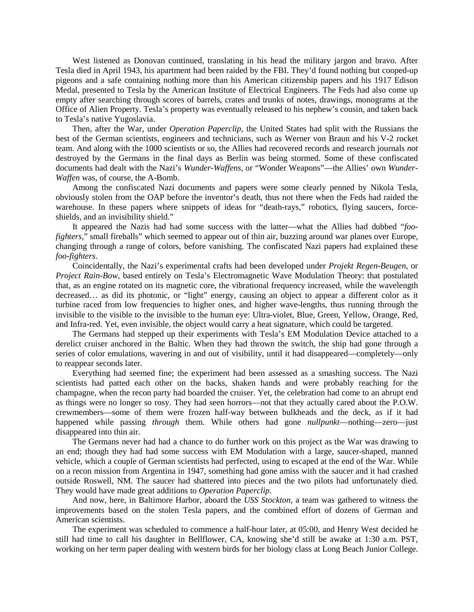West listened as Donovan continued, translating in his head the military jargon and bravo. After Tesla died in April 1943, his apartment had been raided by the FBI. They'd found nothing but cooped-up pigeons and a safe containing nothing more than his American citizenship papers and his 1917 Edison Medal, presented to Tesla by the American Institute of Electrical Engineers. The Feds had also come up empty after searching through scores of barrels, crates and trunks of notes, drawings, monograms at the Office of Alien Property. Tesla's property was eventually released to his nephew's cousin, and taken back to Tesla's native Yugoslavia.

Then, after the War, under *Operation Paperclip*, the United States had split with the Russians the best of the German scientists, engineers and technicians, such as Werner von Braun and his V-2 rocket team. And along with the 1000 scientists or so, the Allies had recovered records and research journals *not* destroyed by the Germans in the final days as Berlin was being stormed. Some of these confiscated documents had dealt with the Nazi's *Wunder-Waffens,* or "Wonder Weapons"—the Allies' own *Wunder-Waffen* was, of course, the A-Bomb.

Among the confiscated Nazi documents and papers were some clearly penned by Nikola Tesla, obviously stolen from the OAP before the inventor's death, thus not there when the Feds had raided the warehouse. In these papers where snippets of ideas for "death-rays," robotics, flying saucers, forceshields, and an invisibility shield."

It appeared the Nazis had had some success with the latter—what the Allies had dubbed "*foofighters,*" small fireballs" which seemed to appear out of thin air, buzzing around war planes over Europe, changing through a range of colors, before vanishing. The confiscated Nazi papers had explained these *foo*-*fighters*.

Coincidentally, the Nazi's experimental crafts had been developed under *Projekt Regen-Beugen*, or *Project Rain-Bow*, based entirely on Tesla's Electromagnetic Wave Modulation Theory: that postulated that, as an engine rotated on its magnetic core, the vibrational frequency increased, while the wavelength decreased… as did its photonic, or "light" energy, causing an object to appear a different color as it turbine raced from low frequencies to higher ones, and higher wave-lengths, thus running through the invisible to the visible to the invisible to the human eye: Ultra-violet, Blue, Green, Yellow, Orange, Red, and Infra-red. Yet, even invisible, the object would carry a heat signature, which could be targeted.

The Germans had stepped up their experiments with Tesla's EM Modulation Device attached to a derelict cruiser anchored in the Baltic. When they had thrown the switch, the ship had gone through a series of color emulations, wavering in and out of visibility, until it had disappeared—completely—only to reappear seconds later.

Everything had seemed fine; the experiment had been assessed as a smashing success. The Nazi scientists had patted each other on the backs, shaken hands and were probably reaching for the champagne, when the recon party had boarded the cruiser. Yet, the celebration had come to an abrupt end as things were no longer so rosy. They had seen horrors—not that they actually cared about the P.O.W. crewmembers—some of them were frozen half-way between bulkheads and the deck, as if it had happened while passing *through* them. While others had gone *nullpunkt*—nothing—zero—just disappeared into thin air.

The Germans never had had a chance to do further work on this project as the War was drawing to an end; though they had had some success with EM Modulation with a large, saucer-shaped, manned vehicle, which a couple of German scientists had perfected, using to escaped at the end of the War. While on a recon mission from Argentina in 1947, something had gone amiss with the saucer and it had crashed outside Roswell, NM. The saucer had shattered into pieces and the two pilots had unfortunately died. They would have made great additions to *Operation Paperclip*.

And now, here, in Baltimore Harbor, aboard the *USS Stockton*, a team was gathered to witness the improvements based on the stolen Tesla papers, and the combined effort of dozens of German and American scientists.

The experiment was scheduled to commence a half-hour later, at 05:00, and Henry West decided he still had time to call his daughter in Bellflower, CA, knowing she'd still be awake at 1:30 a.m. PST, working on her term paper dealing with western birds for her biology class at Long Beach Junior College.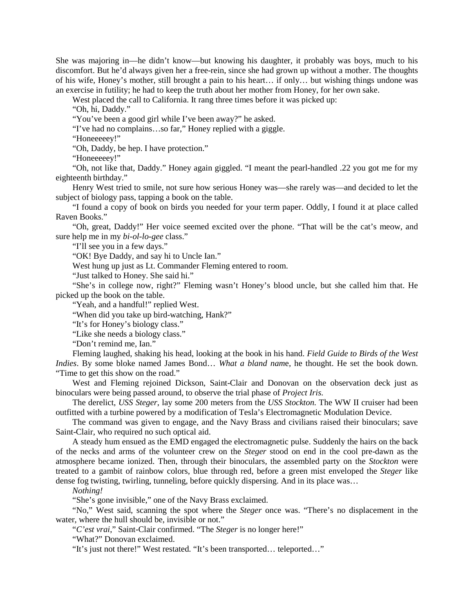She was majoring in—he didn't know—but knowing his daughter, it probably was boys, much to his discomfort. But he'd always given her a free-rein, since she had grown up without a mother. The thoughts of his wife, Honey's mother, still brought a pain to his heart… if only… but wishing things undone was an exercise in futility; he had to keep the truth about her mother from Honey, for her own sake.

West placed the call to California. It rang three times before it was picked up:

"Oh, hi, Daddy."

"You've been a good girl while I've been away?" he asked.

"I've had no complains…so far," Honey replied with a giggle.

"Honeeeeey!"

"Oh, Daddy, be hep. I have protection."

"Honeeeeey!"

"Oh, not like that, Daddy." Honey again giggled. "I meant the pearl-handled .22 you got me for my eighteenth birthday."

Henry West tried to smile, not sure how serious Honey was—she rarely was—and decided to let the subject of biology pass, tapping a book on the table.

"I found a copy of book on birds you needed for your term paper. Oddly, I found it at place called Raven Books."

"Oh, great, Daddy!" Her voice seemed excited over the phone. "That will be the cat's meow, and sure help me in my *bi-ol-lo-gee* class."

"I'll see you in a few days."

"OK! Bye Daddy, and say hi to Uncle Ian."

West hung up just as Lt. Commander Fleming entered to room.

"Just talked to Honey. She said hi."

"She's in college now, right?" Fleming wasn't Honey's blood uncle, but she called him that. He picked up the book on the table.

"Yeah, and a handful!" replied West.

"When did you take up bird-watching, Hank?"

"It's for Honey's biology class."

"Like she needs a biology class."

"Don't remind me, Ian."

Fleming laughed, shaking his head, looking at the book in his hand. *Field Guide to Birds of the West Indies*. By some bloke named James Bond… *What a bland nam*e, he thought. He set the book down. "Time to get this show on the road."

West and Fleming rejoined Dickson, Saint-Clair and Donovan on the observation deck just as binoculars were being passed around, to observe the trial phase of *Project Iris*.

The derelict, *USS Steger*, lay some 200 meters from the *USS Stockton.* The WW II cruiser had been outfitted with a turbine powered by a modification of Tesla's Electromagnetic Modulation Device.

The command was given to engage, and the Navy Brass and civilians raised their binoculars; save Saint-Clair, who required no such optical aid.

A steady hum ensued as the EMD engaged the electromagnetic pulse. Suddenly the hairs on the back of the necks and arms of the volunteer crew on the *Steger* stood on end in the cool pre-dawn as the atmosphere became ionized. Then, through their binoculars*,* the assembled party on the *Stockton* were treated to a gambit of rainbow colors, blue through red, before a green mist enveloped the *Steger* like dense fog twisting, twirling, tunneling, before quickly dispersing. And in its place was…

*Nothing!*

"She's gone invisible," one of the Navy Brass exclaimed.

"No," West said, scanning the spot where the *Steger* once was. "There's no displacement in the water, where the hull should be, invisible or not."

"*C'est vrai*," Saint-Clair confirmed. "The *Steger* is no longer here!"

"What?" Donovan exclaimed.

"It's just not there!" West restated. "It's been transported… teleported…"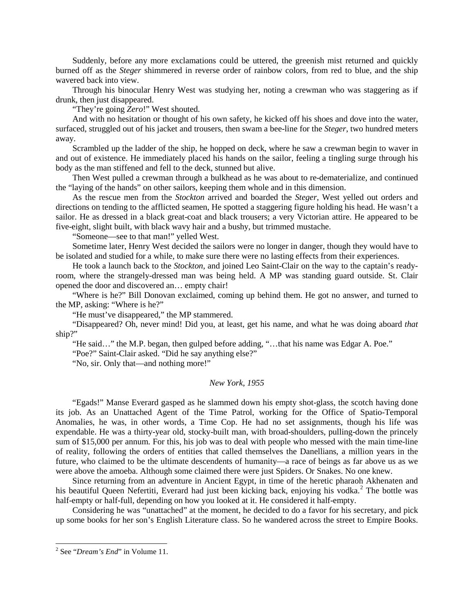Suddenly, before any more exclamations could be uttered, the greenish mist returned and quickly burned off as the *Steger* shimmered in reverse order of rainbow colors, from red to blue, and the ship wavered back into view.

Through his binocular Henry West was studying her, noting a crewman who was staggering as if drunk, then just disappeared.

"They're going *Zero*!" West shouted.

And with no hesitation or thought of his own safety, he kicked off his shoes and dove into the water, surfaced, struggled out of his jacket and trousers, then swam a bee-line for the *Steger*, two hundred meters away.

Scrambled up the ladder of the ship, he hopped on deck, where he saw a crewman begin to waver in and out of existence. He immediately placed his hands on the sailor, feeling a tingling surge through his body as the man stiffened and fell to the deck, stunned but alive.

Then West pulled a crewman through a bulkhead as he was about to re-dematerialize, and continued the "laying of the hands" on other sailors, keeping them whole and in this dimension.

As the rescue men from the *Stockton* arrived and boarded the *Steger*, West yelled out orders and directions on tending to the afflicted seamen, He spotted a staggering figure holding his head. He wasn't a sailor. He as dressed in a black great-coat and black trousers; a very Victorian attire. He appeared to be five-eight, slight built, with black wavy hair and a bushy, but trimmed mustache.

"Someone—see to that man!" yelled West.

Sometime later, Henry West decided the sailors were no longer in danger, though they would have to be isolated and studied for a while, to make sure there were no lasting effects from their experiences.

He took a launch back to the *Stockton*, and joined Leo Saint-Clair on the way to the captain's readyroom, where the strangely-dressed man was being held. A MP was standing guard outside. St. Clair opened the door and discovered an… empty chair!

"Where is he?" Bill Donovan exclaimed, coming up behind them. He got no answer, and turned to the MP, asking: "Where is he?"

"He must've disappeared," the MP stammered.

"Disappeared? Oh, never mind! Did you, at least, get his name, and what he was doing aboard *that* ship?"

"He said…" the M.P. began, then gulped before adding, "…that his name was Edgar A. Poe."

"Poe?" Saint-Clair asked. "Did he say anything else?"

"No, sir. Only that—and nothing more!"

# *New York, 1955*

"Egads!" Manse Everard gasped as he slammed down his empty shot-glass, the scotch having done its job. As an Unattached Agent of the Time Patrol, working for the Office of Spatio-Temporal Anomalies, he was, in other words, a Time Cop. He had no set assignments, though his life was expendable. He was a thirty-year old, stocky-built man, with broad-shoulders, pulling-down the princely sum of \$15,000 per annum. For this, his job was to deal with people who messed with the main time-line of reality, following the orders of entities that called themselves the Danellians, a million years in the future, who claimed to be the ultimate descendents of humanity—a race of beings as far above us as we were above the amoeba. Although some claimed there were just Spiders. Or Snakes. No one knew.

Since returning from an adventure in Ancient Egypt, in time of the heretic pharaoh Akhenaten and his beautiful Queen Nefertiti, Everard had just been kicking back, enjoying his vodka.<sup>[2](#page-3-0)</sup> The bottle was half-empty or half-full, depending on how you looked at it. He considered it half-empty.

Considering he was "unattached" at the moment, he decided to do a favor for his secretary, and pick up some books for her son's English Literature class. So he wandered across the street to Empire Books.

<span id="page-3-0"></span> <sup>2</sup> See "*Dream's End*" in Volume 11.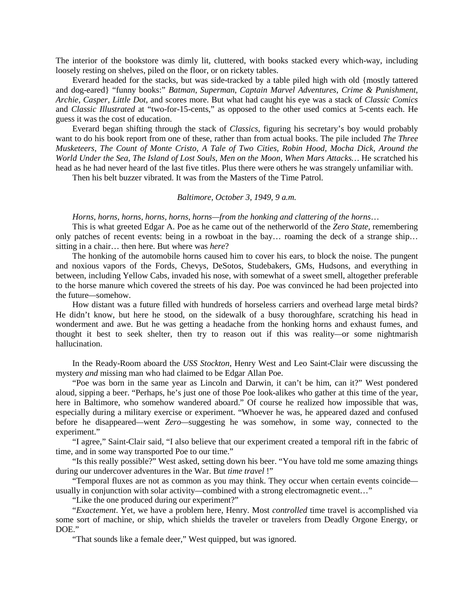The interior of the bookstore was dimly lit, cluttered, with books stacked every which-way, including loosely resting on shelves, piled on the floor, or on rickety tables.

Everard headed for the stacks, but was side-tracked by a table piled high with old {mostly tattered and dog-eared} "funny books:" *Batman*, *Superman*, *Captain Marvel Adventures*, *Crime & Punishment*, *Archie, Casper, Little Dot*, and scores more. But what had caught his eye was a stack of *Classic Comics* and *Classic Illustrated* at "two-for-15-cents," as opposed to the other used comics at 5-cents each. He guess it was the cost of education.

Everard began shifting through the stack of *Classics*, figuring his secretary's boy would probably want to do his book report from one of these, rather than from actual books. The pile included *The Three Musketeers, The Count of Monte Cristo, A Tale of Two Cities, Robin Hood, Mocha Dick, Around the World Under the Sea, The Island of Lost Souls, Men on the Moon, When Mars Attacks…* He scratched his head as he had never heard of the last five titles. Plus there were others he was strangely unfamiliar with.

Then his belt buzzer vibrated. It was from the Masters of the Time Patrol.

# *Baltimore, October 3, 1949, 9 a.m.*

## *Horns, horns, horns, horns, horns, horns—from the honking and clattering of the horns*…

This is what greeted Edgar A. Poe as he came out of the netherworld of the *Zero State*, remembering only patches of recent events: being in a rowboat in the bay… roaming the deck of a strange ship… sitting in a chair… then here. But where was *here*?

The honking of the automobile horns caused him to cover his ears, to block the noise. The pungent and noxious vapors of the Fords, Chevys, DeSotos, Studebakers, GMs, Hudsons, and everything in between, including Yellow Cabs, invaded his nose, with somewhat of a sweet smell, altogether preferable to the horse manure which covered the streets of his day. Poe was convinced he had been projected into the future*—*somehow.

How distant was a future filled with hundreds of horseless carriers and overhead large metal birds? He didn't know, but here he stood, on the sidewalk of a busy thoroughfare, scratching his head in wonderment and awe. But he was getting a headache from the honking horns and exhaust fumes, and thought it best to seek shelter, then try to reason out if this was reality*—*or some nightmarish hallucination.

In the Ready-Room aboard the *USS Stockton*, Henry West and Leo Saint-Clair were discussing the mystery *and* missing man who had claimed to be Edgar Allan Poe.

"Poe was born in the same year as Lincoln and Darwin, it can't be him, can it?" West pondered aloud, sipping a beer. "Perhaps, he's just one of those Poe look-alikes who gather at this time of the year, here in Baltimore, who somehow wandered aboard." Of course he realized how impossible that was, especially during a military exercise or experiment. "Whoever he was, he appeared dazed and confused before he disappeared*—*went *Zero—*suggesting he was somehow, in some way, connected to the experiment."

"I agree," Saint-Clair said, "I also believe that our experiment created a temporal rift in the fabric of time, and in some way transported Poe to our time."

"Is this really possible?" West asked, setting down his beer. "You have told me some amazing things during our undercover adventures in the War. But *time travel* !"

"Temporal fluxes are not as common as you may think. They occur when certain events coincide usually in conjunction with solar activity*—*combined with a strong electromagnetic event…"

"Like the one produced during our experiment?"

"*Exactement*. Yet, we have a problem here, Henry. Most *controlled* time travel is accomplished via some sort of machine, or ship, which shields the traveler or travelers from Deadly Orgone Energy, or DOE."

"That sounds like a female deer," West quipped, but was ignored.